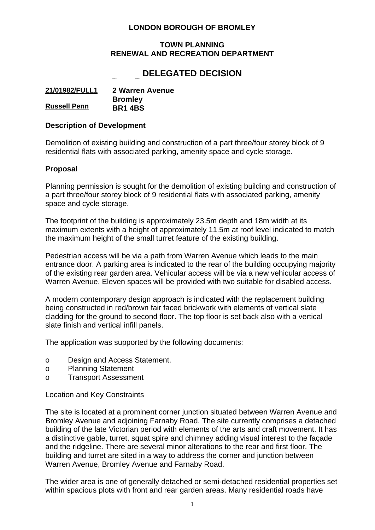### **LONDON BOROUGH OF BROMLEY**

#### **TOWN PLANNING RENEWAL AND RECREATION DEPARTMENT**

# Application No : **21/01982/FULL1 DELEGATED DECISION**

| 21/01982/FULL1      | 2 Warren Avenue |
|---------------------|-----------------|
|                     | <b>Bromley</b>  |
| <b>Russell Penn</b> | <b>BR1 4BS</b>  |

#### **Description of Development**

Demolition of existing building and construction of a part three/four storey block of 9 residential flats with associated parking, amenity space and cycle storage.

#### **Proposal**

Planning permission is sought for the demolition of existing building and construction of a part three/four storey block of 9 residential flats with associated parking, amenity space and cycle storage.

The footprint of the building is approximately 23.5m depth and 18m width at its maximum extents with a height of approximately 11.5m at roof level indicated to match the maximum height of the small turret feature of the existing building.

Pedestrian access will be via a path from Warren Avenue which leads to the main entrance door. A parking area is indicated to the rear of the building occupying majority of the existing rear garden area. Vehicular access will be via a new vehicular access of Warren Avenue. Eleven spaces will be provided with two suitable for disabled access.

A modern contemporary design approach is indicated with the replacement building being constructed in red/brown fair faced brickwork with elements of vertical slate cladding for the ground to second floor. The top floor is set back also with a vertical slate finish and vertical infill panels.

The application was supported by the following documents:

- o Design and Access Statement.
- o Planning Statement
- o Transport Assessment

Location and Key Constraints

The site is located at a prominent corner junction situated between Warren Avenue and Bromley Avenue and adjoining Farnaby Road. The site currently comprises a detached building of the late Victorian period with elements of the arts and craft movement. It has a distinctive gable, turret, squat spire and chimney adding visual interest to the façade and the ridgeline. There are several minor alterations to the rear and first floor. The building and turret are sited in a way to address the corner and junction between Warren Avenue, Bromley Avenue and Farnaby Road.

The wider area is one of generally detached or semi-detached residential properties set within spacious plots with front and rear garden areas. Many residential roads have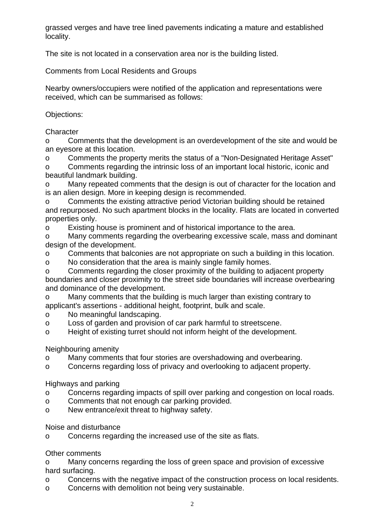grassed verges and have tree lined pavements indicating a mature and established locality.

The site is not located in a conservation area nor is the building listed.

Comments from Local Residents and Groups

Nearby owners/occupiers were notified of the application and representations were received, which can be summarised as follows:

Objections:

**Character** 

o Comments that the development is an overdevelopment of the site and would be an eyesore at this location.

o Comments the property merits the status of a "Non-Designated Heritage Asset"

o Comments regarding the intrinsic loss of an important local historic, iconic and beautiful landmark building.

o Many repeated comments that the design is out of character for the location and is an alien design. More in keeping design is recommended.

o Comments the existing attractive period Victorian building should be retained and repurposed. No such apartment blocks in the locality. Flats are located in converted properties only.

o Existing house is prominent and of historical importance to the area.

o Many comments regarding the overbearing excessive scale, mass and dominant design of the development.

o Comments that balconies are not appropriate on such a building in this location.

o No consideration that the area is mainly single family homes.

o Comments regarding the closer proximity of the building to adjacent property boundaries and closer proximity to the street side boundaries will increase overbearing and dominance of the development.

o Many comments that the building is much larger than existing contrary to applicant's assertions - additional height, footprint, bulk and scale.

o No meaningful landscaping.

o Loss of garden and provision of car park harmful to streetscene.

o Height of existing turret should not inform height of the development.

Neighbouring amenity

o Many comments that four stories are overshadowing and overbearing.

o Concerns regarding loss of privacy and overlooking to adjacent property.

Highways and parking

- o Concerns regarding impacts of spill over parking and congestion on local roads.
- o Comments that not enough car parking provided.
- o New entrance/exit threat to highway safety.

Noise and disturbance

o Concerns regarding the increased use of the site as flats.

Other comments

o Many concerns regarding the loss of green space and provision of excessive hard surfacing.

- o Concerns with the negative impact of the construction process on local residents.
- o Concerns with demolition not being very sustainable.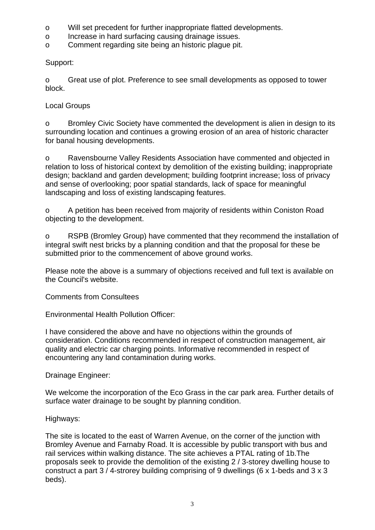- o Will set precedent for further inappropriate flatted developments.
- o Increase in hard surfacing causing drainage issues.
- o Comment regarding site being an historic plague pit.

Support:

o Great use of plot. Preference to see small developments as opposed to tower block.

### Local Groups

o Bromley Civic Society have commented the development is alien in design to its surrounding location and continues a growing erosion of an area of historic character for banal housing developments.

o Ravensbourne Valley Residents Association have commented and objected in relation to loss of historical context by demolition of the existing building; inappropriate design; backland and garden development; building footprint increase; loss of privacy and sense of overlooking; poor spatial standards, lack of space for meaningful landscaping and loss of existing landscaping features.

o A petition has been received from majority of residents within Coniston Road objecting to the development.

o RSPB (Bromley Group) have commented that they recommend the installation of integral swift nest bricks by a planning condition and that the proposal for these be submitted prior to the commencement of above ground works.

Please note the above is a summary of objections received and full text is available on the Council's website.

Comments from Consultees

Environmental Health Pollution Officer:

I have considered the above and have no objections within the grounds of consideration. Conditions recommended in respect of construction management, air quality and electric car charging points. Informative recommended in respect of encountering any land contamination during works.

# Drainage Engineer:

We welcome the incorporation of the Eco Grass in the car park area. Further details of surface water drainage to be sought by planning condition.

### Highways:

The site is located to the east of Warren Avenue, on the corner of the junction with Bromley Avenue and Farnaby Road. It is accessible by public transport with bus and rail services within walking distance. The site achieves a PTAL rating of 1b.The proposals seek to provide the demolition of the existing 2 / 3-storey dwelling house to construct a part 3 / 4-strorey building comprising of 9 dwellings (6 x 1-beds and 3 x 3 beds).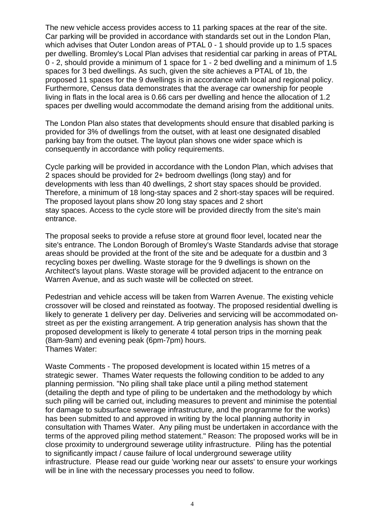The new vehicle access provides access to 11 parking spaces at the rear of the site. Car parking will be provided in accordance with standards set out in the London Plan, which advises that Outer London areas of PTAL 0 - 1 should provide up to 1.5 spaces per dwelling. Bromley's Local Plan advises that residential car parking in areas of PTAL 0 - 2, should provide a minimum of 1 space for 1 - 2 bed dwelling and a minimum of 1.5 spaces for 3 bed dwellings. As such, given the site achieves a PTAL of 1b, the proposed 11 spaces for the 9 dwellings is in accordance with local and regional policy. Furthermore, Census data demonstrates that the average car ownership for people living in flats in the local area is 0.66 cars per dwelling and hence the allocation of 1.2 spaces per dwelling would accommodate the demand arising from the additional units.

The London Plan also states that developments should ensure that disabled parking is provided for 3% of dwellings from the outset, with at least one designated disabled parking bay from the outset. The layout plan shows one wider space which is consequently in accordance with policy requirements.

Cycle parking will be provided in accordance with the London Plan, which advises that 2 spaces should be provided for 2+ bedroom dwellings (long stay) and for developments with less than 40 dwellings, 2 short stay spaces should be provided. Therefore, a minimum of 18 long-stay spaces and 2 short-stay spaces will be required. The proposed layout plans show 20 long stay spaces and 2 short stay spaces. Access to the cycle store will be provided directly from the site's main entrance.

The proposal seeks to provide a refuse store at ground floor level, located near the site's entrance. The London Borough of Bromley's Waste Standards advise that storage areas should be provided at the front of the site and be adequate for a dustbin and 3 recycling boxes per dwelling. Waste storage for the 9 dwellings is shown on the Architect's layout plans. Waste storage will be provided adjacent to the entrance on Warren Avenue, and as such waste will be collected on street.

Pedestrian and vehicle access will be taken from Warren Avenue. The existing vehicle crossover will be closed and reinstated as footway. The proposed residential dwelling is likely to generate 1 delivery per day. Deliveries and servicing will be accommodated onstreet as per the existing arrangement. A trip generation analysis has shown that the proposed development is likely to generate 4 total person trips in the morning peak (8am-9am) and evening peak (6pm-7pm) hours. Thames Water:

Waste Comments - The proposed development is located within 15 metres of a strategic sewer. Thames Water requests the following condition to be added to any planning permission. "No piling shall take place until a piling method statement (detailing the depth and type of piling to be undertaken and the methodology by which such piling will be carried out, including measures to prevent and minimise the potential for damage to subsurface sewerage infrastructure, and the programme for the works) has been submitted to and approved in writing by the local planning authority in consultation with Thames Water. Any piling must be undertaken in accordance with the terms of the approved piling method statement." Reason: The proposed works will be in close proximity to underground sewerage utility infrastructure. Piling has the potential to significantly impact / cause failure of local underground sewerage utility infrastructure. Please read our guide 'working near our assets' to ensure your workings will be in line with the necessary processes you need to follow.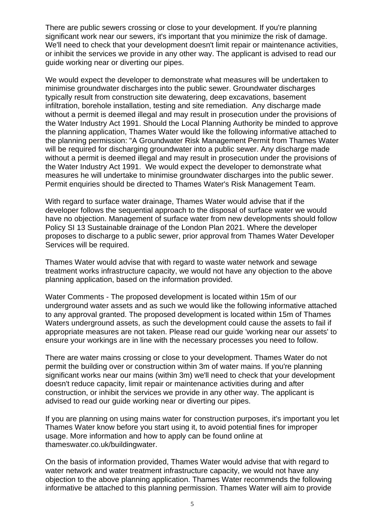There are public sewers crossing or close to your development. If you're planning significant work near our sewers, it's important that you minimize the risk of damage. We'll need to check that your development doesn't limit repair or maintenance activities, or inhibit the services we provide in any other way. The applicant is advised to read our guide working near or diverting our pipes.

We would expect the developer to demonstrate what measures will be undertaken to minimise groundwater discharges into the public sewer. Groundwater discharges typically result from construction site dewatering, deep excavations, basement infiltration, borehole installation, testing and site remediation. Any discharge made without a permit is deemed illegal and may result in prosecution under the provisions of the Water Industry Act 1991. Should the Local Planning Authority be minded to approve the planning application, Thames Water would like the following informative attached to the planning permission: "A Groundwater Risk Management Permit from Thames Water will be required for discharging groundwater into a public sewer. Any discharge made without a permit is deemed illegal and may result in prosecution under the provisions of the Water Industry Act 1991. We would expect the developer to demonstrate what measures he will undertake to minimise groundwater discharges into the public sewer. Permit enquiries should be directed to Thames Water's Risk Management Team.

With regard to surface water drainage, Thames Water would advise that if the developer follows the sequential approach to the disposal of surface water we would have no objection. Management of surface water from new developments should follow Policy SI 13 Sustainable drainage of the London Plan 2021. Where the developer proposes to discharge to a public sewer, prior approval from Thames Water Developer Services will be required.

Thames Water would advise that with regard to waste water network and sewage treatment works infrastructure capacity, we would not have any objection to the above planning application, based on the information provided.

Water Comments - The proposed development is located within 15m of our underground water assets and as such we would like the following informative attached to any approval granted. The proposed development is located within 15m of Thames Waters underground assets, as such the development could cause the assets to fail if appropriate measures are not taken. Please read our guide 'working near our assets' to ensure your workings are in line with the necessary processes you need to follow.

There are water mains crossing or close to your development. Thames Water do not permit the building over or construction within 3m of water mains. If you're planning significant works near our mains (within 3m) we'll need to check that your development doesn't reduce capacity, limit repair or maintenance activities during and after construction, or inhibit the services we provide in any other way. The applicant is advised to read our guide working near or diverting our pipes.

If you are planning on using mains water for construction purposes, it's important you let Thames Water know before you start using it, to avoid potential fines for improper usage. More information and how to apply can be found online at thameswater.co.uk/buildingwater.

On the basis of information provided, Thames Water would advise that with regard to water network and water treatment infrastructure capacity, we would not have any objection to the above planning application. Thames Water recommends the following informative be attached to this planning permission. Thames Water will aim to provide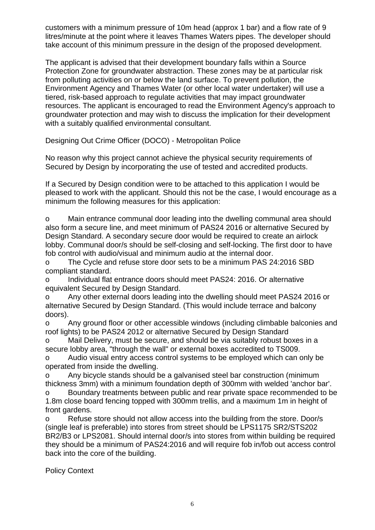customers with a minimum pressure of 10m head (approx 1 bar) and a flow rate of 9 litres/minute at the point where it leaves Thames Waters pipes. The developer should take account of this minimum pressure in the design of the proposed development.

The applicant is advised that their development boundary falls within a Source Protection Zone for groundwater abstraction. These zones may be at particular risk from polluting activities on or below the land surface. To prevent pollution, the Environment Agency and Thames Water (or other local water undertaker) will use a tiered, risk-based approach to regulate activities that may impact groundwater resources. The applicant is encouraged to read the Environment Agency's approach to groundwater protection and may wish to discuss the implication for their development with a suitably qualified environmental consultant.

Designing Out Crime Officer (DOCO) - Metropolitan Police

No reason why this project cannot achieve the physical security requirements of Secured by Design by incorporating the use of tested and accredited products.

If a Secured by Design condition were to be attached to this application I would be pleased to work with the applicant. Should this not be the case, I would encourage as a minimum the following measures for this application:

o Main entrance communal door leading into the dwelling communal area should also form a secure line, and meet minimum of PAS24 2016 or alternative Secured by Design Standard. A secondary secure door would be required to create an airlock lobby. Communal door/s should be self-closing and self-locking. The first door to have fob control with audio/visual and minimum audio at the internal door.

o The Cycle and refuse store door sets to be a minimum PAS 24:2016 SBD compliant standard.

o Individual flat entrance doors should meet PAS24: 2016. Or alternative equivalent Secured by Design Standard.

o Any other external doors leading into the dwelling should meet PAS24 2016 or alternative Secured by Design Standard. (This would include terrace and balcony doors).

o Any ground floor or other accessible windows (including climbable balconies and roof lights) to be PAS24 2012 or alternative Secured by Design Standard

o Mail Delivery, must be secure, and should be via suitably robust boxes in a secure lobby area, "through the wall" or external boxes accredited to TS009.

o Audio visual entry access control systems to be employed which can only be operated from inside the dwelling.

o Any bicycle stands should be a galvanised steel bar construction (minimum thickness 3mm) with a minimum foundation depth of 300mm with welded 'anchor bar'.

o Boundary treatments between public and rear private space recommended to be 1.8m close board fencing topped with 300mm trellis, and a maximum 1m in height of front gardens.

o Refuse store should not allow access into the building from the store. Door/s (single leaf is preferable) into stores from street should be LPS1175 SR2/STS202 BR2/B3 or LPS2081. Should internal door/s into stores from within building be required they should be a minimum of PAS24:2016 and will require fob in/fob out access control back into the core of the building.

Policy Context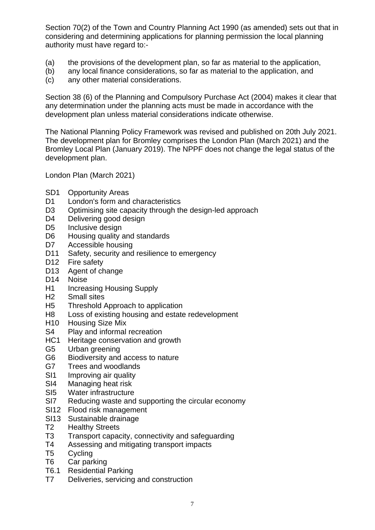Section 70(2) of the Town and Country Planning Act 1990 (as amended) sets out that in considering and determining applications for planning permission the local planning authority must have regard to:-

- (a) the provisions of the development plan, so far as material to the application,
- (b) any local finance considerations, so far as material to the application, and
- (c) any other material considerations.

Section 38 (6) of the Planning and Compulsory Purchase Act (2004) makes it clear that any determination under the planning acts must be made in accordance with the development plan unless material considerations indicate otherwise.

The National Planning Policy Framework was revised and published on 20th July 2021. The development plan for Bromley comprises the London Plan (March 2021) and the Bromley Local Plan (January 2019). The NPPF does not change the legal status of the development plan.

London Plan (March 2021)

- SD1 Opportunity Areas
- D1 London's form and characteristics
- D3 Optimising site capacity through the design-led approach
- D<sub>4</sub> Delivering good design
- D5 Inclusive design
- D6 Housing quality and standards
- D7 Accessible housing
- D11 Safety, security and resilience to emergency
- D<sub>12</sub> Fire safety
- D13 Agent of change
- D14 Noise
- H1 Increasing Housing Supply
- H2 Small sites
- H5 Threshold Approach to application
- H8 Loss of existing housing and estate redevelopment
- H10 Housing Size Mix
- S4 Play and informal recreation
- HC1 Heritage conservation and growth
- G5 Urban greening
- G6 Biodiversity and access to nature
- G7 Trees and woodlands
- SI1 Improving air quality
- SI4 Managing heat risk
- SI5 Water infrastructure
- SI7 Reducing waste and supporting the circular economy
- SI12 Flood risk management
- SI13 Sustainable drainage
- T2 Healthy Streets
- T3 Transport capacity, connectivity and safeguarding
- T4 Assessing and mitigating transport impacts
- T5 Cycling
- T6 Car parking
- T6.1 Residential Parking
- T7 Deliveries, servicing and construction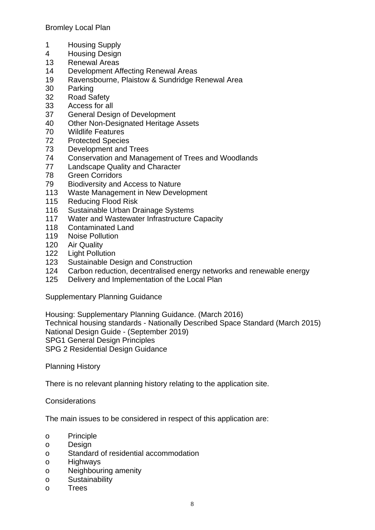Bromley Local Plan

- 1 Housing Supply
- 4 Housing Design
- 13 Renewal Areas
- 14 Development Affecting Renewal Areas
- 19 Ravensbourne, Plaistow & Sundridge Renewal Area
- 30 Parking
- 32 Road Safety
- 33 Access for all
- 37 General Design of Development
- 40 Other Non-Designated Heritage Assets
- 70 Wildlife Features
- 72 Protected Species
- 73 Development and Trees
- 74 Conservation and Management of Trees and Woodlands
- 77 Landscape Quality and Character
- 78 Green Corridors
- 79 Biodiversity and Access to Nature
- 113 Waste Management in New Development
- 115 Reducing Flood Risk
- 116 Sustainable Urban Drainage Systems
- 117 Water and Wastewater Infrastructure Capacity
- 118 Contaminated Land
- 119 Noise Pollution
- 120 Air Quality
- 122 Light Pollution
- 123 Sustainable Design and Construction
- 124 Carbon reduction, decentralised energy networks and renewable energy
- 125 Delivery and Implementation of the Local Plan

Supplementary Planning Guidance

Housing: Supplementary Planning Guidance. (March 2016) Technical housing standards - Nationally Described Space Standard (March 2015) National Design Guide - (September 2019) SPG1 General Design Principles SPG 2 Residential Design Guidance

Planning History

There is no relevant planning history relating to the application site.

**Considerations** 

The main issues to be considered in respect of this application are:

- o Principle
- o Design
- o Standard of residential accommodation
- o Highways
- o Neighbouring amenity
- o Sustainability
- o Trees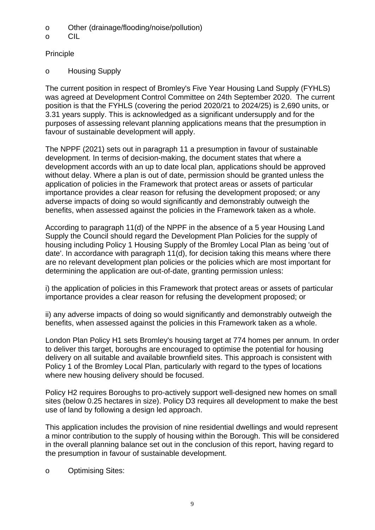- o Other (drainage/flooding/noise/pollution)
- o CIL

**Principle** 

o Housing Supply

The current position in respect of Bromley's Five Year Housing Land Supply (FYHLS) was agreed at Development Control Committee on 24th September 2020. The current position is that the FYHLS (covering the period 2020/21 to 2024/25) is 2,690 units, or 3.31 years supply. This is acknowledged as a significant undersupply and for the purposes of assessing relevant planning applications means that the presumption in favour of sustainable development will apply.

The NPPF (2021) sets out in paragraph 11 a presumption in favour of sustainable development. In terms of decision-making, the document states that where a development accords with an up to date local plan, applications should be approved without delay. Where a plan is out of date, permission should be granted unless the application of policies in the Framework that protect areas or assets of particular importance provides a clear reason for refusing the development proposed; or any adverse impacts of doing so would significantly and demonstrably outweigh the benefits, when assessed against the policies in the Framework taken as a whole.

According to paragraph 11(d) of the NPPF in the absence of a 5 year Housing Land Supply the Council should regard the Development Plan Policies for the supply of housing including Policy 1 Housing Supply of the Bromley Local Plan as being 'out of date'. In accordance with paragraph 11(d), for decision taking this means where there are no relevant development plan policies or the policies which are most important for determining the application are out-of-date, granting permission unless:

i) the application of policies in this Framework that protect areas or assets of particular importance provides a clear reason for refusing the development proposed; or

ii) any adverse impacts of doing so would significantly and demonstrably outweigh the benefits, when assessed against the policies in this Framework taken as a whole.

London Plan Policy H1 sets Bromley's housing target at 774 homes per annum. In order to deliver this target, boroughs are encouraged to optimise the potential for housing delivery on all suitable and available brownfield sites. This approach is consistent with Policy 1 of the Bromley Local Plan, particularly with regard to the types of locations where new housing delivery should be focused.

Policy H2 requires Boroughs to pro-actively support well-designed new homes on small sites (below 0.25 hectares in size). Policy D3 requires all development to make the best use of land by following a design led approach.

This application includes the provision of nine residential dwellings and would represent a minor contribution to the supply of housing within the Borough. This will be considered in the overall planning balance set out in the conclusion of this report, having regard to the presumption in favour of sustainable development.

o Optimising Sites: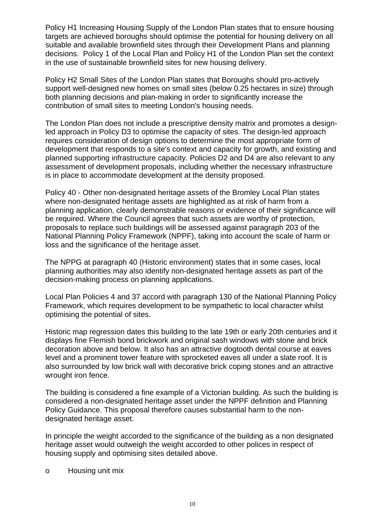Policy H1 Increasing Housing Supply of the London Plan states that to ensure housing targets are achieved boroughs should optimise the potential for housing delivery on all suitable and available brownfield sites through their Development Plans and planning decisions. Policy 1 of the Local Plan and Policy H1 of the London Plan set the context in the use of sustainable brownfield sites for new housing delivery.

Policy H2 Small Sites of the London Plan states that Boroughs should pro-actively support well-designed new homes on small sites (below 0.25 hectares in size) through both planning decisions and plan-making in order to significantly increase the contribution of small sites to meeting London's housing needs.

The London Plan does not include a prescriptive density matrix and promotes a designled approach in Policy D3 to optimise the capacity of sites. The design-led approach requires consideration of design options to determine the most appropriate form of development that responds to a site's context and capacity for growth, and existing and planned supporting infrastructure capacity. Policies D2 and D4 are also relevant to any assessment of development proposals, including whether the necessary infrastructure is in place to accommodate development at the density proposed.

Policy 40 - Other non-designated heritage assets of the Bromley Local Plan states where non-designated heritage assets are highlighted as at risk of harm from a planning application, clearly demonstrable reasons or evidence of their significance will be required. Where the Council agrees that such assets are worthy of protection, proposals to replace such buildings will be assessed against paragraph 203 of the National Planning Policy Framework (NPPF), taking into account the scale of harm or loss and the significance of the heritage asset.

The NPPG at paragraph 40 (Historic environment) states that in some cases, local planning authorities may also identify non-designated heritage assets as part of the decision-making process on planning applications.

Local Plan Policies 4 and 37 accord with paragraph 130 of the National Planning Policy Framework, which requires development to be sympathetic to local character whilst optimising the potential of sites.

Historic map regression dates this building to the late 19th or early 20th centuries and it displays fine Flemish bond brickwork and original sash windows with stone and brick decoration above and below. It also has an attractive dogtooth dental course at eaves level and a prominent tower feature with sprocketed eaves all under a slate roof. It is also surrounded by low brick wall with decorative brick coping stones and an attractive wrought iron fence.

The building is considered a fine example of a Victorian building. As such the building is considered a non-designated heritage asset under the NPPF definition and Planning Policy Guidance. This proposal therefore causes substantial harm to the nondesignated heritage asset.

In principle the weight accorded to the significance of the building as a non designated heritage asset would outweigh the weight accorded to other polices in respect of housing supply and optimising sites detailed above.

o Housing unit mix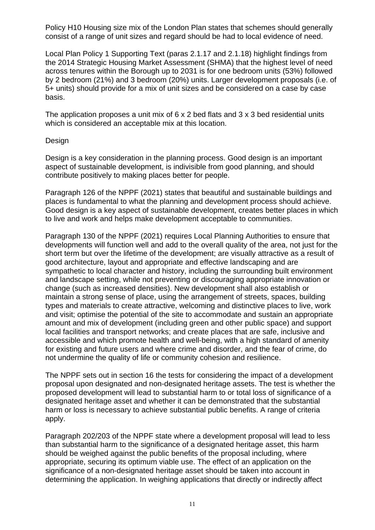Policy H10 Housing size mix of the London Plan states that schemes should generally consist of a range of unit sizes and regard should be had to local evidence of need.

Local Plan Policy 1 Supporting Text (paras 2.1.17 and 2.1.18) highlight findings from the 2014 Strategic Housing Market Assessment (SHMA) that the highest level of need across tenures within the Borough up to 2031 is for one bedroom units (53%) followed by 2 bedroom (21%) and 3 bedroom (20%) units. Larger development proposals (i.e. of 5+ units) should provide for a mix of unit sizes and be considered on a case by case basis.

The application proposes a unit mix of 6 x 2 bed flats and 3 x 3 bed residential units which is considered an acceptable mix at this location.

### Design

Design is a key consideration in the planning process. Good design is an important aspect of sustainable development, is indivisible from good planning, and should contribute positively to making places better for people.

Paragraph 126 of the NPPF (2021) states that beautiful and sustainable buildings and places is fundamental to what the planning and development process should achieve. Good design is a key aspect of sustainable development, creates better places in which to live and work and helps make development acceptable to communities.

Paragraph 130 of the NPPF (2021) requires Local Planning Authorities to ensure that developments will function well and add to the overall quality of the area, not just for the short term but over the lifetime of the development; are visually attractive as a result of good architecture, layout and appropriate and effective landscaping and are sympathetic to local character and history, including the surrounding built environment and landscape setting, while not preventing or discouraging appropriate innovation or change (such as increased densities). New development shall also establish or maintain a strong sense of place, using the arrangement of streets, spaces, building types and materials to create attractive, welcoming and distinctive places to live, work and visit; optimise the potential of the site to accommodate and sustain an appropriate amount and mix of development (including green and other public space) and support local facilities and transport networks; and create places that are safe, inclusive and accessible and which promote health and well-being, with a high standard of amenity for existing and future users and where crime and disorder, and the fear of crime, do not undermine the quality of life or community cohesion and resilience.

The NPPF sets out in section 16 the tests for considering the impact of a development proposal upon designated and non-designated heritage assets. The test is whether the proposed development will lead to substantial harm to or total loss of significance of a designated heritage asset and whether it can be demonstrated that the substantial harm or loss is necessary to achieve substantial public benefits. A range of criteria apply.

Paragraph 202/203 of the NPPF state where a development proposal will lead to less than substantial harm to the significance of a designated heritage asset, this harm should be weighed against the public benefits of the proposal including, where appropriate, securing its optimum viable use. The effect of an application on the significance of a non-designated heritage asset should be taken into account in determining the application. In weighing applications that directly or indirectly affect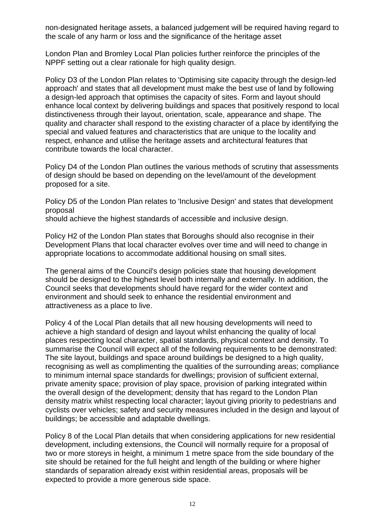non-designated heritage assets, a balanced judgement will be required having regard to the scale of any harm or loss and the significance of the heritage asset

London Plan and Bromley Local Plan policies further reinforce the principles of the NPPF setting out a clear rationale for high quality design.

Policy D3 of the London Plan relates to 'Optimising site capacity through the design-led approach' and states that all development must make the best use of land by following a design-led approach that optimises the capacity of sites. Form and layout should enhance local context by delivering buildings and spaces that positively respond to local distinctiveness through their layout, orientation, scale, appearance and shape. The quality and character shall respond to the existing character of a place by identifying the special and valued features and characteristics that are unique to the locality and respect, enhance and utilise the heritage assets and architectural features that contribute towards the local character.

Policy D4 of the London Plan outlines the various methods of scrutiny that assessments of design should be based on depending on the level/amount of the development proposed for a site.

Policy D5 of the London Plan relates to 'Inclusive Design' and states that development proposal

should achieve the highest standards of accessible and inclusive design.

Policy H2 of the London Plan states that Boroughs should also recognise in their Development Plans that local character evolves over time and will need to change in appropriate locations to accommodate additional housing on small sites.

The general aims of the Council's design policies state that housing development should be designed to the highest level both internally and externally. In addition, the Council seeks that developments should have regard for the wider context and environment and should seek to enhance the residential environment and attractiveness as a place to live.

Policy 4 of the Local Plan details that all new housing developments will need to achieve a high standard of design and layout whilst enhancing the quality of local places respecting local character, spatial standards, physical context and density. To summarise the Council will expect all of the following requirements to be demonstrated: The site layout, buildings and space around buildings be designed to a high quality, recognising as well as complimenting the qualities of the surrounding areas; compliance to minimum internal space standards for dwellings; provision of sufficient external, private amenity space; provision of play space, provision of parking integrated within the overall design of the development; density that has regard to the London Plan density matrix whilst respecting local character; layout giving priority to pedestrians and cyclists over vehicles; safety and security measures included in the design and layout of buildings; be accessible and adaptable dwellings.

Policy 8 of the Local Plan details that when considering applications for new residential development, including extensions, the Council will normally require for a proposal of two or more storeys in height, a minimum 1 metre space from the side boundary of the site should be retained for the full height and length of the building or where higher standards of separation already exist within residential areas, proposals will be expected to provide a more generous side space.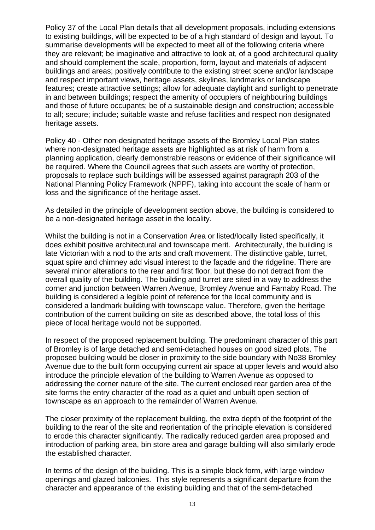Policy 37 of the Local Plan details that all development proposals, including extensions to existing buildings, will be expected to be of a high standard of design and layout. To summarise developments will be expected to meet all of the following criteria where they are relevant; be imaginative and attractive to look at, of a good architectural quality and should complement the scale, proportion, form, layout and materials of adjacent buildings and areas; positively contribute to the existing street scene and/or landscape and respect important views, heritage assets, skylines, landmarks or landscape features; create attractive settings; allow for adequate daylight and sunlight to penetrate in and between buildings; respect the amenity of occupiers of neighbouring buildings and those of future occupants; be of a sustainable design and construction; accessible to all; secure; include; suitable waste and refuse facilities and respect non designated heritage assets.

Policy 40 - Other non-designated heritage assets of the Bromley Local Plan states where non-designated heritage assets are highlighted as at risk of harm from a planning application, clearly demonstrable reasons or evidence of their significance will be required. Where the Council agrees that such assets are worthy of protection, proposals to replace such buildings will be assessed against paragraph 203 of the National Planning Policy Framework (NPPF), taking into account the scale of harm or loss and the significance of the heritage asset.

As detailed in the principle of development section above, the building is considered to be a non-designated heritage asset in the locality.

Whilst the building is not in a Conservation Area or listed/locally listed specifically, it does exhibit positive architectural and townscape merit. Architecturally, the building is late Victorian with a nod to the arts and craft movement. The distinctive gable, turret, squat spire and chimney add visual interest to the façade and the ridgeline. There are several minor alterations to the rear and first floor, but these do not detract from the overall quality of the building. The building and turret are sited in a way to address the corner and junction between Warren Avenue, Bromley Avenue and Farnaby Road. The building is considered a legible point of reference for the local community and is considered a landmark building with townscape value. Therefore, given the heritage contribution of the current building on site as described above, the total loss of this piece of local heritage would not be supported.

In respect of the proposed replacement building. The predominant character of this part of Bromley is of large detached and semi-detached houses on good sized plots. The proposed building would be closer in proximity to the side boundary with No38 Bromley Avenue due to the built form occupying current air space at upper levels and would also introduce the principle elevation of the building to Warren Avenue as opposed to addressing the corner nature of the site. The current enclosed rear garden area of the site forms the entry character of the road as a quiet and unbuilt open section of townscape as an approach to the remainder of Warren Avenue.

The closer proximity of the replacement building, the extra depth of the footprint of the building to the rear of the site and reorientation of the principle elevation is considered to erode this character significantly. The radically reduced garden area proposed and introduction of parking area, bin store area and garage building will also similarly erode the established character.

In terms of the design of the building. This is a simple block form, with large window openings and glazed balconies. This style represents a significant departure from the character and appearance of the existing building and that of the semi-detached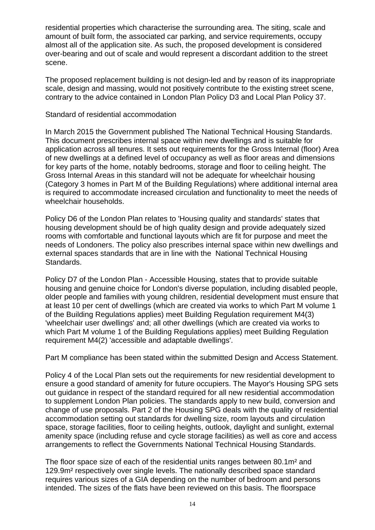residential properties which characterise the surrounding area. The siting, scale and amount of built form, the associated car parking, and service requirements, occupy almost all of the application site. As such, the proposed development is considered over-bearing and out of scale and would represent a discordant addition to the street scene.

The proposed replacement building is not design-led and by reason of its inappropriate scale, design and massing, would not positively contribute to the existing street scene, contrary to the advice contained in London Plan Policy D3 and Local Plan Policy 37.

Standard of residential accommodation

In March 2015 the Government published The National Technical Housing Standards. This document prescribes internal space within new dwellings and is suitable for application across all tenures. It sets out requirements for the Gross Internal (floor) Area of new dwellings at a defined level of occupancy as well as floor areas and dimensions for key parts of the home, notably bedrooms, storage and floor to ceiling height. The Gross Internal Areas in this standard will not be adequate for wheelchair housing (Category 3 homes in Part M of the Building Regulations) where additional internal area is required to accommodate increased circulation and functionality to meet the needs of wheelchair households.

Policy D6 of the London Plan relates to 'Housing quality and standards' states that housing development should be of high quality design and provide adequately sized rooms with comfortable and functional layouts which are fit for purpose and meet the needs of Londoners. The policy also prescribes internal space within new dwellings and external spaces standards that are in line with the National Technical Housing Standards.

Policy D7 of the London Plan - Accessible Housing, states that to provide suitable housing and genuine choice for London's diverse population, including disabled people, older people and families with young children, residential development must ensure that at least 10 per cent of dwellings (which are created via works to which Part M volume 1 of the Building Regulations applies) meet Building Regulation requirement M4(3) 'wheelchair user dwellings' and; all other dwellings (which are created via works to which Part M volume 1 of the Building Regulations applies) meet Building Regulation requirement M4(2) 'accessible and adaptable dwellings'.

Part M compliance has been stated within the submitted Design and Access Statement.

Policy 4 of the Local Plan sets out the requirements for new residential development to ensure a good standard of amenity for future occupiers. The Mayor's Housing SPG sets out guidance in respect of the standard required for all new residential accommodation to supplement London Plan policies. The standards apply to new build, conversion and change of use proposals. Part 2 of the Housing SPG deals with the quality of residential accommodation setting out standards for dwelling size, room layouts and circulation space, storage facilities, floor to ceiling heights, outlook, daylight and sunlight, external amenity space (including refuse and cycle storage facilities) as well as core and access arrangements to reflect the Governments National Technical Housing Standards.

The floor space size of each of the residential units ranges between 80.1m² and 129.9m² respectively over single levels. The nationally described space standard requires various sizes of a GIA depending on the number of bedroom and persons intended. The sizes of the flats have been reviewed on this basis. The floorspace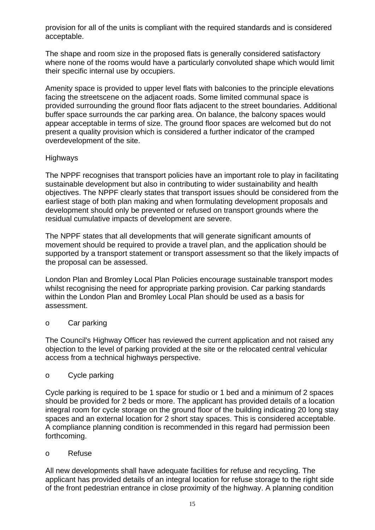provision for all of the units is compliant with the required standards and is considered acceptable.

The shape and room size in the proposed flats is generally considered satisfactory where none of the rooms would have a particularly convoluted shape which would limit their specific internal use by occupiers.

Amenity space is provided to upper level flats with balconies to the principle elevations facing the streetscene on the adjacent roads. Some limited communal space is provided surrounding the ground floor flats adjacent to the street boundaries. Additional buffer space surrounds the car parking area. On balance, the balcony spaces would appear acceptable in terms of size. The ground floor spaces are welcomed but do not present a quality provision which is considered a further indicator of the cramped overdevelopment of the site.

# Highways

The NPPF recognises that transport policies have an important role to play in facilitating sustainable development but also in contributing to wider sustainability and health objectives. The NPPF clearly states that transport issues should be considered from the earliest stage of both plan making and when formulating development proposals and development should only be prevented or refused on transport grounds where the residual cumulative impacts of development are severe.

The NPPF states that all developments that will generate significant amounts of movement should be required to provide a travel plan, and the application should be supported by a transport statement or transport assessment so that the likely impacts of the proposal can be assessed.

London Plan and Bromley Local Plan Policies encourage sustainable transport modes whilst recognising the need for appropriate parking provision. Car parking standards within the London Plan and Bromley Local Plan should be used as a basis for assessment.

# o Car parking

The Council's Highway Officer has reviewed the current application and not raised any objection to the level of parking provided at the site or the relocated central vehicular access from a technical highways perspective.

### o Cycle parking

Cycle parking is required to be 1 space for studio or 1 bed and a minimum of 2 spaces should be provided for 2 beds or more. The applicant has provided details of a location integral room for cycle storage on the ground floor of the building indicating 20 long stay spaces and an external location for 2 short stay spaces. This is considered acceptable. A compliance planning condition is recommended in this regard had permission been forthcoming.

### o Refuse

All new developments shall have adequate facilities for refuse and recycling. The applicant has provided details of an integral location for refuse storage to the right side of the front pedestrian entrance in close proximity of the highway. A planning condition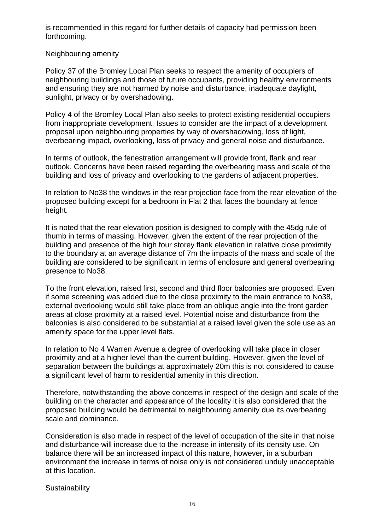is recommended in this regard for further details of capacity had permission been forthcoming.

Neighbouring amenity

Policy 37 of the Bromley Local Plan seeks to respect the amenity of occupiers of neighbouring buildings and those of future occupants, providing healthy environments and ensuring they are not harmed by noise and disturbance, inadequate daylight, sunlight, privacy or by overshadowing.

Policy 4 of the Bromley Local Plan also seeks to protect existing residential occupiers from inappropriate development. Issues to consider are the impact of a development proposal upon neighbouring properties by way of overshadowing, loss of light, overbearing impact, overlooking, loss of privacy and general noise and disturbance.

In terms of outlook, the fenestration arrangement will provide front, flank and rear outlook. Concerns have been raised regarding the overbearing mass and scale of the building and loss of privacy and overlooking to the gardens of adjacent properties.

In relation to No38 the windows in the rear projection face from the rear elevation of the proposed building except for a bedroom in Flat 2 that faces the boundary at fence height.

It is noted that the rear elevation position is designed to comply with the 45dg rule of thumb in terms of massing. However, given the extent of the rear projection of the building and presence of the high four storey flank elevation in relative close proximity to the boundary at an average distance of 7m the impacts of the mass and scale of the building are considered to be significant in terms of enclosure and general overbearing presence to No38.

To the front elevation, raised first, second and third floor balconies are proposed. Even if some screening was added due to the close proximity to the main entrance to No38, external overlooking would still take place from an oblique angle into the front garden areas at close proximity at a raised level. Potential noise and disturbance from the balconies is also considered to be substantial at a raised level given the sole use as an amenity space for the upper level flats.

In relation to No 4 Warren Avenue a degree of overlooking will take place in closer proximity and at a higher level than the current building. However, given the level of separation between the buildings at approximately 20m this is not considered to cause a significant level of harm to residential amenity in this direction.

Therefore, notwithstanding the above concerns in respect of the design and scale of the building on the character and appearance of the locality it is also considered that the proposed building would be detrimental to neighbouring amenity due its overbearing scale and dominance.

Consideration is also made in respect of the level of occupation of the site in that noise and disturbance will increase due to the increase in intensity of its density use. On balance there will be an increased impact of this nature, however, in a suburban environment the increase in terms of noise only is not considered unduly unacceptable at this location.

**Sustainability**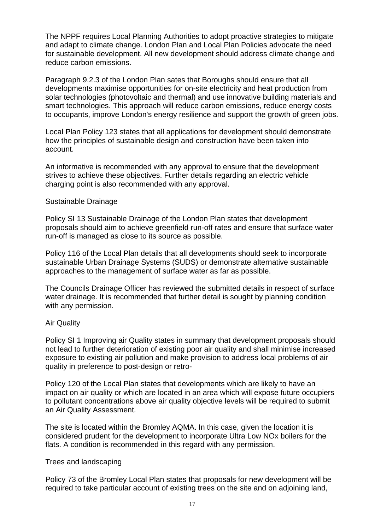The NPPF requires Local Planning Authorities to adopt proactive strategies to mitigate and adapt to climate change. London Plan and Local Plan Policies advocate the need for sustainable development. All new development should address climate change and reduce carbon emissions.

Paragraph 9.2.3 of the London Plan sates that Boroughs should ensure that all developments maximise opportunities for on-site electricity and heat production from solar technologies (photovoltaic and thermal) and use innovative building materials and smart technologies. This approach will reduce carbon emissions, reduce energy costs to occupants, improve London's energy resilience and support the growth of green jobs.

Local Plan Policy 123 states that all applications for development should demonstrate how the principles of sustainable design and construction have been taken into account.

An informative is recommended with any approval to ensure that the development strives to achieve these objectives. Further details regarding an electric vehicle charging point is also recommended with any approval.

#### Sustainable Drainage

Policy SI 13 Sustainable Drainage of the London Plan states that development proposals should aim to achieve greenfield run-off rates and ensure that surface water run-off is managed as close to its source as possible.

Policy 116 of the Local Plan details that all developments should seek to incorporate sustainable Urban Drainage Systems (SUDS) or demonstrate alternative sustainable approaches to the management of surface water as far as possible.

The Councils Drainage Officer has reviewed the submitted details in respect of surface water drainage. It is recommended that further detail is sought by planning condition with any permission.

### Air Quality

Policy SI 1 Improving air Quality states in summary that development proposals should not lead to further deterioration of existing poor air quality and shall minimise increased exposure to existing air pollution and make provision to address local problems of air quality in preference to post-design or retro-

Policy 120 of the Local Plan states that developments which are likely to have an impact on air quality or which are located in an area which will expose future occupiers to pollutant concentrations above air quality objective levels will be required to submit an Air Quality Assessment.

The site is located within the Bromley AQMA. In this case, given the location it is considered prudent for the development to incorporate Ultra Low NOx boilers for the flats. A condition is recommended in this regard with any permission.

### Trees and landscaping

Policy 73 of the Bromley Local Plan states that proposals for new development will be required to take particular account of existing trees on the site and on adjoining land,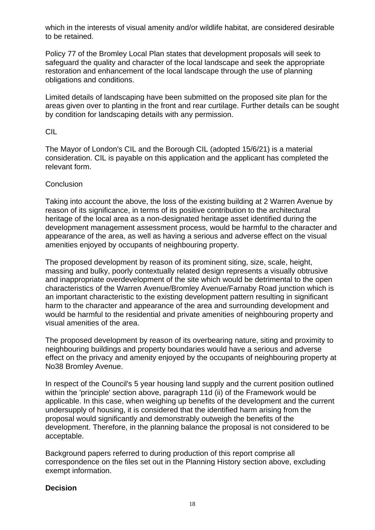which in the interests of visual amenity and/or wildlife habitat, are considered desirable to be retained.

Policy 77 of the Bromley Local Plan states that development proposals will seek to safeguard the quality and character of the local landscape and seek the appropriate restoration and enhancement of the local landscape through the use of planning obligations and conditions.

Limited details of landscaping have been submitted on the proposed site plan for the areas given over to planting in the front and rear curtilage. Further details can be sought by condition for landscaping details with any permission.

### CIL

The Mayor of London's CIL and the Borough CIL (adopted 15/6/21) is a material consideration. CIL is payable on this application and the applicant has completed the relevant form.

### **Conclusion**

Taking into account the above, the loss of the existing building at 2 Warren Avenue by reason of its significance, in terms of its positive contribution to the architectural heritage of the local area as a non-designated heritage asset identified during the development management assessment process, would be harmful to the character and appearance of the area, as well as having a serious and adverse effect on the visual amenities enjoyed by occupants of neighbouring property.

The proposed development by reason of its prominent siting, size, scale, height, massing and bulky, poorly contextually related design represents a visually obtrusive and inappropriate overdevelopment of the site which would be detrimental to the open characteristics of the Warren Avenue/Bromley Avenue/Farnaby Road junction which is an important characteristic to the existing development pattern resulting in significant harm to the character and appearance of the area and surrounding development and would be harmful to the residential and private amenities of neighbouring property and visual amenities of the area.

The proposed development by reason of its overbearing nature, siting and proximity to neighbouring buildings and property boundaries would have a serious and adverse effect on the privacy and amenity enjoyed by the occupants of neighbouring property at No38 Bromley Avenue.

In respect of the Council's 5 year housing land supply and the current position outlined within the 'principle' section above, paragraph 11d (ii) of the Framework would be applicable. In this case, when weighing up benefits of the development and the current undersupply of housing, it is considered that the identified harm arising from the proposal would significantly and demonstrably outweigh the benefits of the development. Therefore, in the planning balance the proposal is not considered to be acceptable.

Background papers referred to during production of this report comprise all correspondence on the files set out in the Planning History section above, excluding exempt information.

# **Decision**